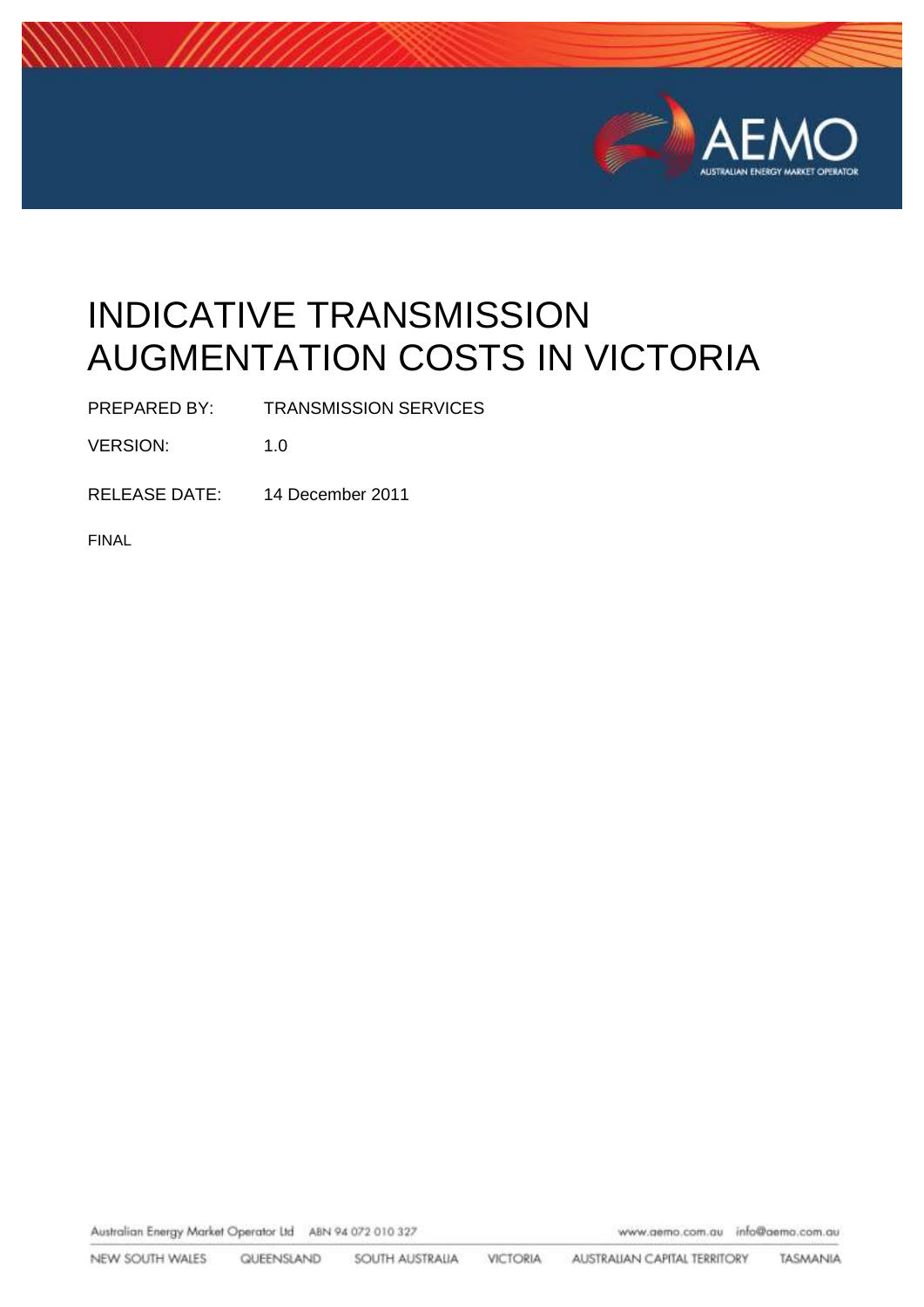

# INDICATIVE TRANSMISSION AUGMENTATION COSTS IN VICTORIA

PREPARED BY: TRANSMISSION SERVICES

VERSION: 1.0

RELEASE DATE: 14 December 2011

FINAL

Australian Energy Market Operator Ltd ABN 94 072 010 327

www.aemo.com.au info@aemo.com.au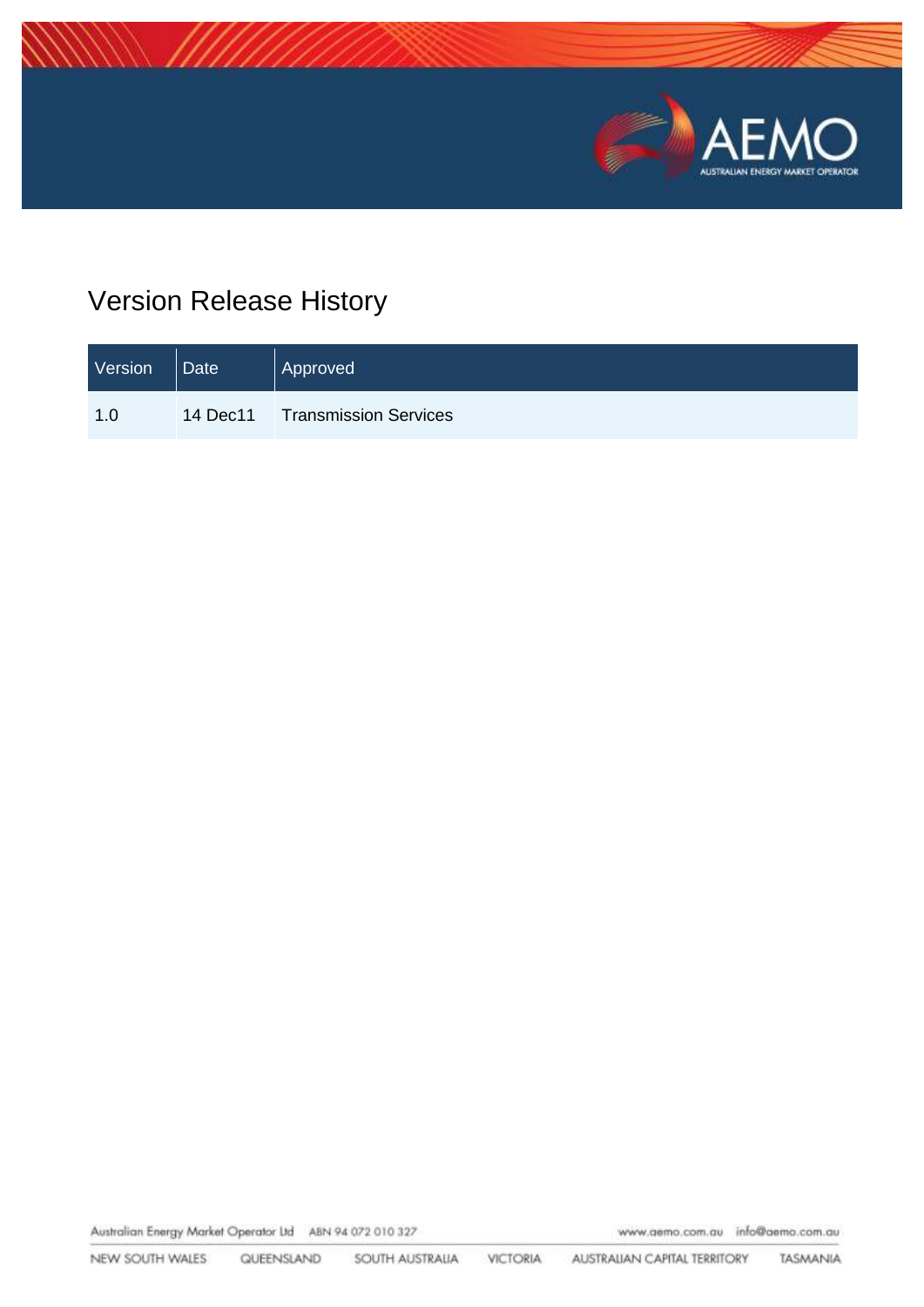

## Version Release History

| Version | Date | Approved                       |
|---------|------|--------------------------------|
| 1.0     |      | 14 Dec11 Transmission Services |

Australian Energy Market Operator Ltd ABN 94 072 010 327

www.aemo.com.au info@aemo.com.au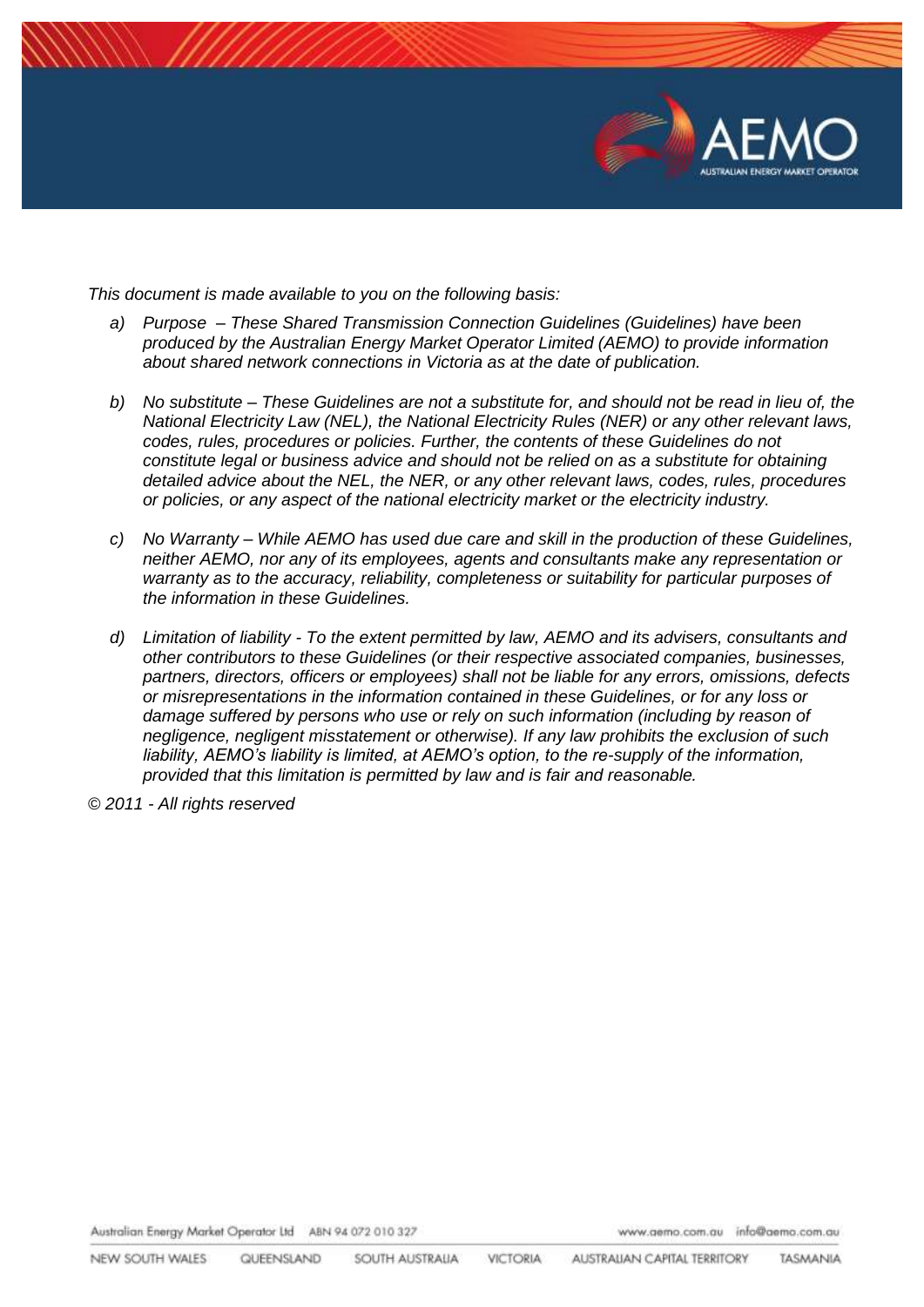

*This document is made available to you on the following basis:* 

- *a) Purpose – These Shared Transmission Connection Guidelines (Guidelines) have been produced by the Australian Energy Market Operator Limited (AEMO) to provide information about shared network connections in Victoria as at the date of publication.*
- *b) No substitute – These Guidelines are not a substitute for, and should not be read in lieu of, the National Electricity Law (NEL), the National Electricity Rules (NER) or any other relevant laws, codes, rules, procedures or policies. Further, the contents of these Guidelines do not constitute legal or business advice and should not be relied on as a substitute for obtaining detailed advice about the NEL, the NER, or any other relevant laws, codes, rules, procedures or policies, or any aspect of the national electricity market or the electricity industry.*
- *c) No Warranty – While AEMO has used due care and skill in the production of these Guidelines, neither AEMO, nor any of its employees, agents and consultants make any representation or warranty as to the accuracy, reliability, completeness or suitability for particular purposes of the information in these Guidelines.*
- *d) Limitation of liability - To the extent permitted by law, AEMO and its advisers, consultants and other contributors to these Guidelines (or their respective associated companies, businesses, partners, directors, officers or employees) shall not be liable for any errors, omissions, defects or misrepresentations in the information contained in these Guidelines, or for any loss or damage suffered by persons who use or rely on such information (including by reason of negligence, negligent misstatement or otherwise). If any law prohibits the exclusion of such liability, AEMO's liability is limited, at AEMO's option, to the re-supply of the information, provided that this limitation is permitted by law and is fair and reasonable.*

*© 2011 - All rights reserved*

Australian Energy Market Operator Ltd ABN 94 072 010 327

www.aemo.com.au info@aemo.com.au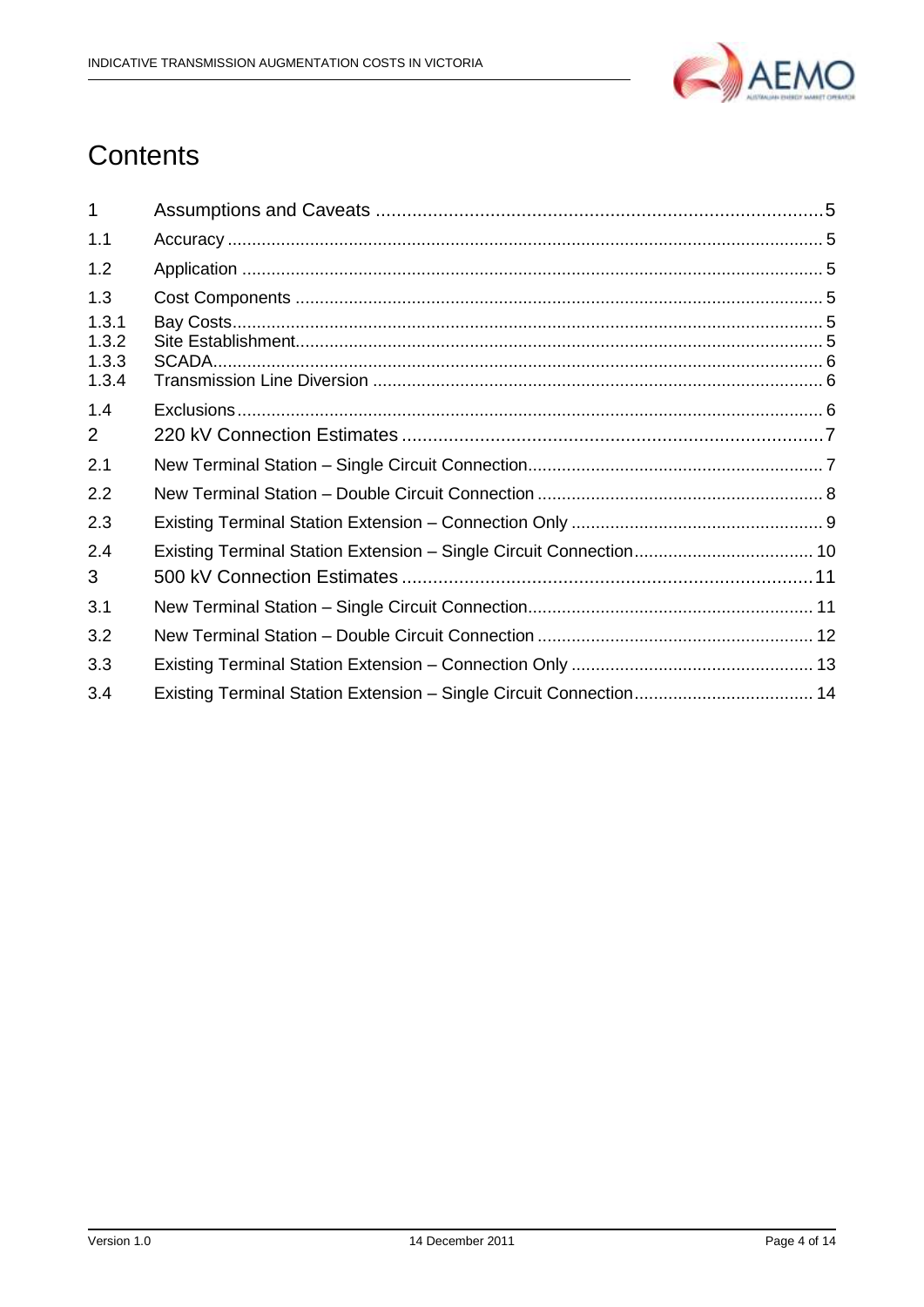

## Contents

| 1                                |                                                                    |  |
|----------------------------------|--------------------------------------------------------------------|--|
| 1.1                              |                                                                    |  |
| 1.2                              |                                                                    |  |
| 1.3                              |                                                                    |  |
| 1.3.1<br>1.3.2<br>1.3.3<br>1.3.4 |                                                                    |  |
| 1.4                              |                                                                    |  |
| 2                                |                                                                    |  |
| 2.1                              |                                                                    |  |
| 2.2                              |                                                                    |  |
| 2.3                              |                                                                    |  |
| 2.4<br>3                         |                                                                    |  |
| 3.1                              |                                                                    |  |
| 3.2                              |                                                                    |  |
| 3.3                              |                                                                    |  |
| 3.4                              | Existing Terminal Station Extension - Single Circuit Connection 14 |  |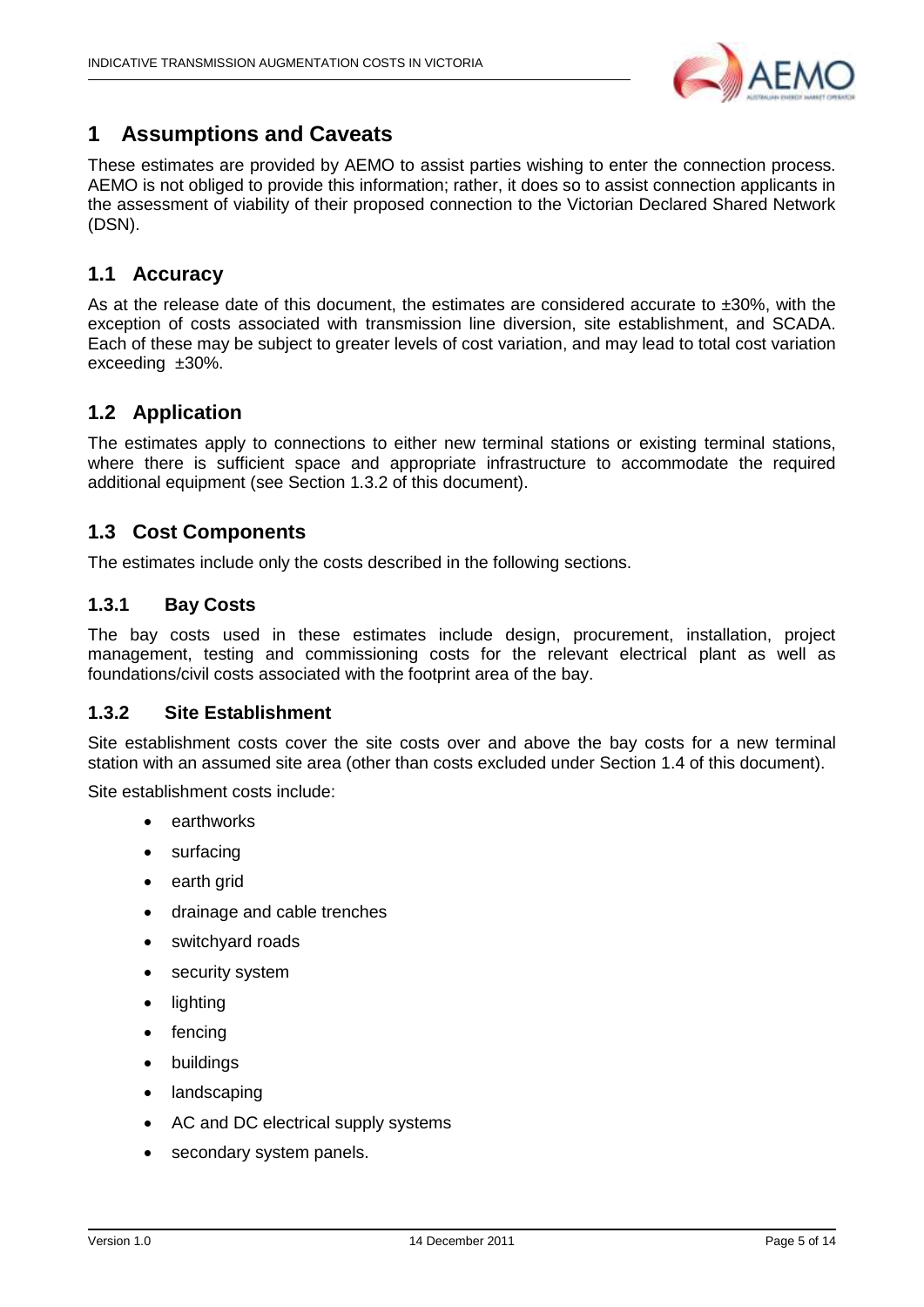

#### <span id="page-4-0"></span>**1 Assumptions and Caveats**

These estimates are provided by AEMO to assist parties wishing to enter the connection process. AEMO is not obliged to provide this information; rather, it does so to assist connection applicants in the assessment of viability of their proposed connection to the Victorian Declared Shared Network (DSN).

#### <span id="page-4-1"></span>**1.1 Accuracy**

As at the release date of this document, the estimates are considered accurate to  $\pm 30\%$ , with the exception of costs associated with transmission line diversion, site establishment, and SCADA. Each of these may be subject to greater levels of cost variation, and may lead to total cost variation exceeding ±30%.

#### <span id="page-4-2"></span>**1.2 Application**

The estimates apply to connections to either new terminal stations or existing terminal stations, where there is sufficient space and appropriate infrastructure to accommodate the required additional equipment (see Section [1.3.2](#page-4-5) of this document).

#### <span id="page-4-3"></span>**1.3 Cost Components**

The estimates include only the costs described in the following sections.

#### <span id="page-4-4"></span>**1.3.1 Bay Costs**

The bay costs used in these estimates include design, procurement, installation, project management, testing and commissioning costs for the relevant electrical plant as well as foundations/civil costs associated with the footprint area of the bay.

#### <span id="page-4-5"></span>**1.3.2 Site Establishment**

Site establishment costs cover the site costs over and above the bay costs for a new terminal station with an assumed site area (other than costs excluded under Section 1.4 of this document).

Site establishment costs include:

- earthworks
- surfacing
- earth grid
- drainage and cable trenches
- switchyard roads
- security system
- lighting
- fencing
- buildings
- landscaping
- AC and DC electrical supply systems
- secondary system panels.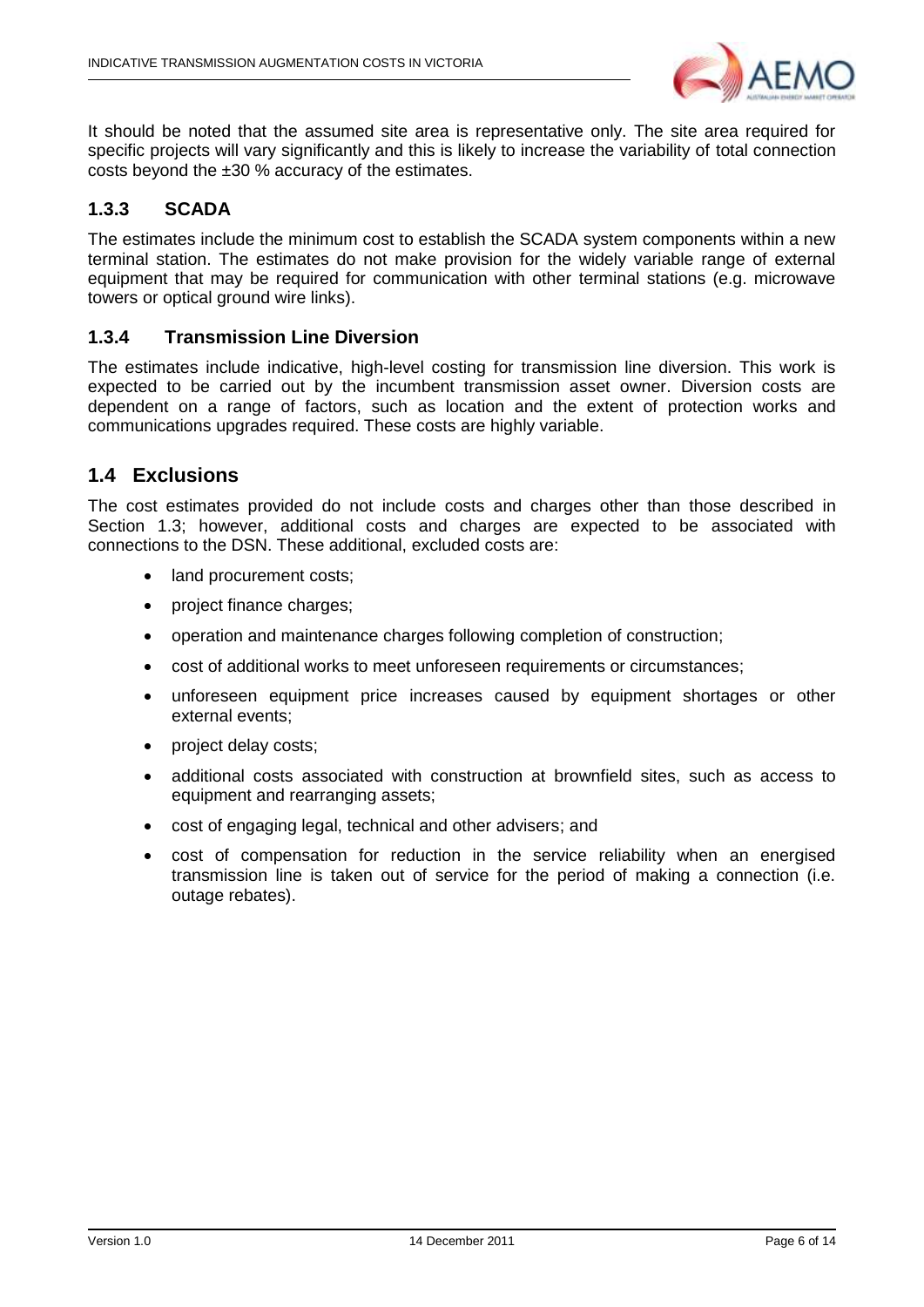

It should be noted that the assumed site area is representative only. The site area required for specific projects will vary significantly and this is likely to increase the variability of total connection costs beyond the ±30 % accuracy of the estimates.

#### <span id="page-5-0"></span>**1.3.3 SCADA**

The estimates include the minimum cost to establish the SCADA system components within a new terminal station. The estimates do not make provision for the widely variable range of external equipment that may be required for communication with other terminal stations (e.g. microwave towers or optical ground wire links).

#### <span id="page-5-1"></span>**1.3.4 Transmission Line Diversion**

The estimates include indicative, high-level costing for transmission line diversion. This work is expected to be carried out by the incumbent transmission asset owner. Diversion costs are dependent on a range of factors, such as location and the extent of protection works and communications upgrades required. These costs are highly variable.

#### <span id="page-5-2"></span>**1.4 Exclusions**

The cost estimates provided do not include costs and charges other than those described in Section [1.3;](#page-4-3) however, additional costs and charges are expected to be associated with connections to the DSN. These additional, excluded costs are:

- land procurement costs;
- project finance charges;
- operation and maintenance charges following completion of construction;
- cost of additional works to meet unforeseen requirements or circumstances;
- unforeseen equipment price increases caused by equipment shortages or other external events;
- project delay costs;
- additional costs associated with construction at brownfield sites, such as access to equipment and rearranging assets;
- cost of engaging legal, technical and other advisers; and
- cost of compensation for reduction in the service reliability when an energised transmission line is taken out of service for the period of making a connection (i.e. outage rebates).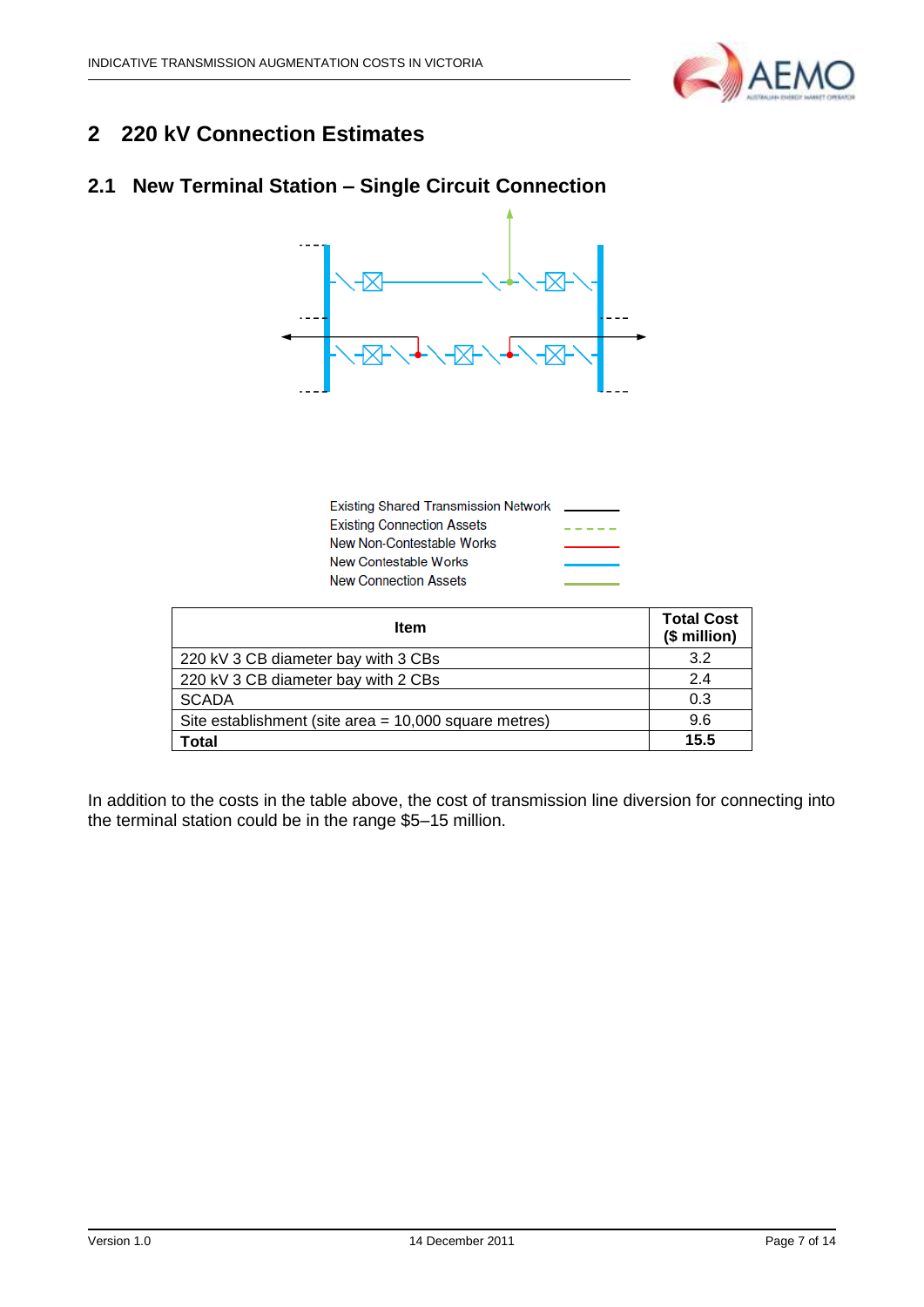

## <span id="page-6-0"></span>**2 220 kV Connection Estimates**

## <span id="page-6-1"></span>**2.1 New Terminal Station – Single Circuit Connection**



| <b>Existing Shared Transmission Network</b> |  |
|---------------------------------------------|--|
| <b>Existing Connection Assets</b>           |  |
| New Non-Contestable Works                   |  |
| New Contestable Works                       |  |
| <b>New Connection Assets</b>                |  |

| <b>Item</b>                                           | <b>Total Cost</b><br>(\$ million) |
|-------------------------------------------------------|-----------------------------------|
| 220 kV 3 CB diameter bay with 3 CBs                   | 3.2                               |
| 220 kV 3 CB diameter bay with 2 CBs                   | 2.4                               |
| <b>SCADA</b>                                          | 0.3                               |
| Site establishment (site area = 10,000 square metres) | 9.6                               |
| Total                                                 | 15.5                              |

In addition to the costs in the table above, the cost of transmission line diversion for connecting into the terminal station could be in the range \$5–15 million.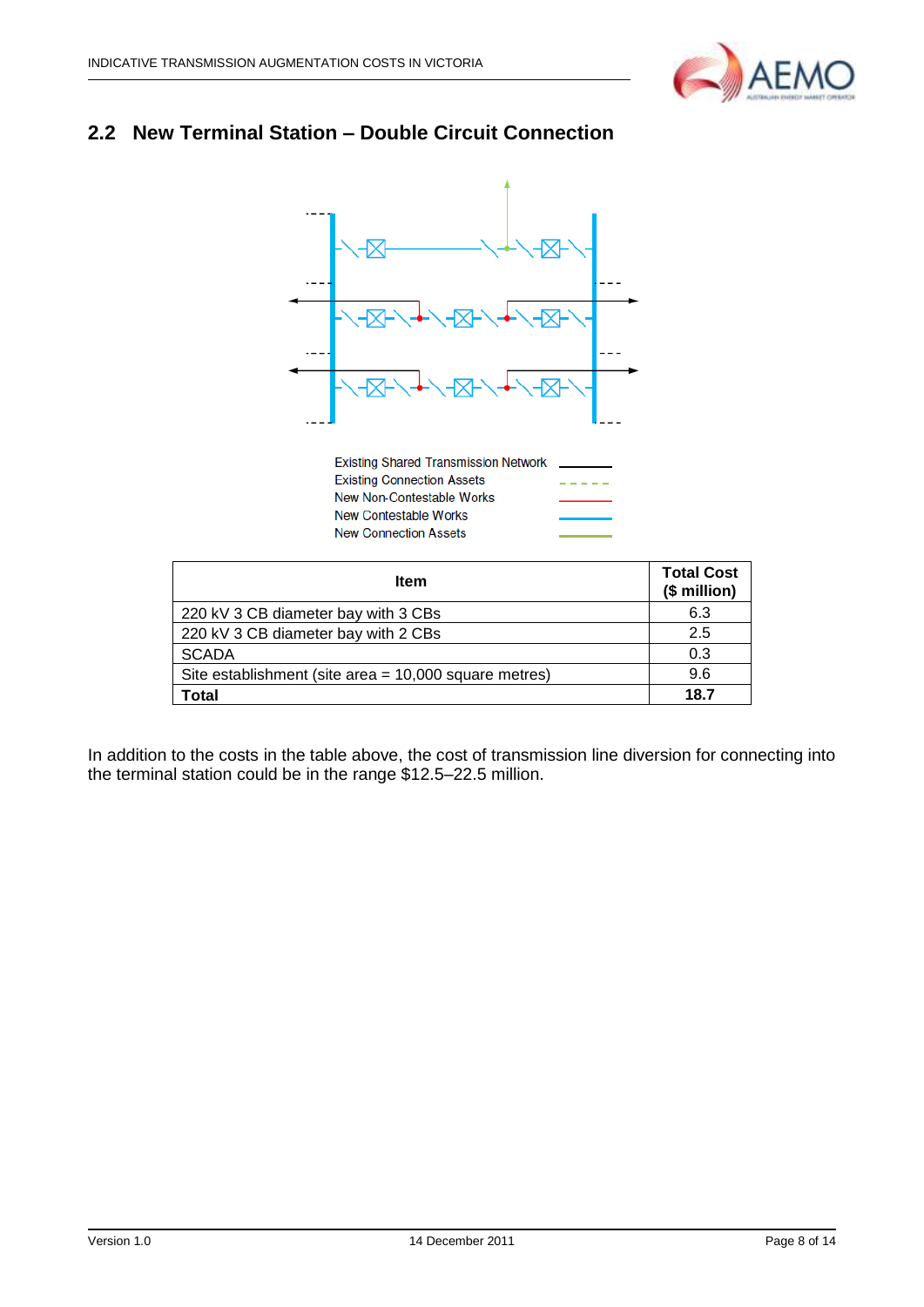

## <span id="page-7-0"></span>**2.2 New Terminal Station – Double Circuit Connection**



Existing Shared Transmission Network \_ **Existing Connection Assets** -----New Non-Contestable Works New Contestable Works **New Connection Assets** 

| <b>Item</b>                                           | <b>Total Cost</b><br>(\$ million) |
|-------------------------------------------------------|-----------------------------------|
| 220 kV 3 CB diameter bay with 3 CBs                   | 6.3                               |
| 220 kV 3 CB diameter bay with 2 CBs                   | 2.5                               |
| <b>SCADA</b>                                          | 0.3                               |
| Site establishment (site area = 10,000 square metres) | 9.6                               |
| Total                                                 | 18.7                              |

In addition to the costs in the table above, the cost of transmission line diversion for connecting into the terminal station could be in the range \$12.5–22.5 million.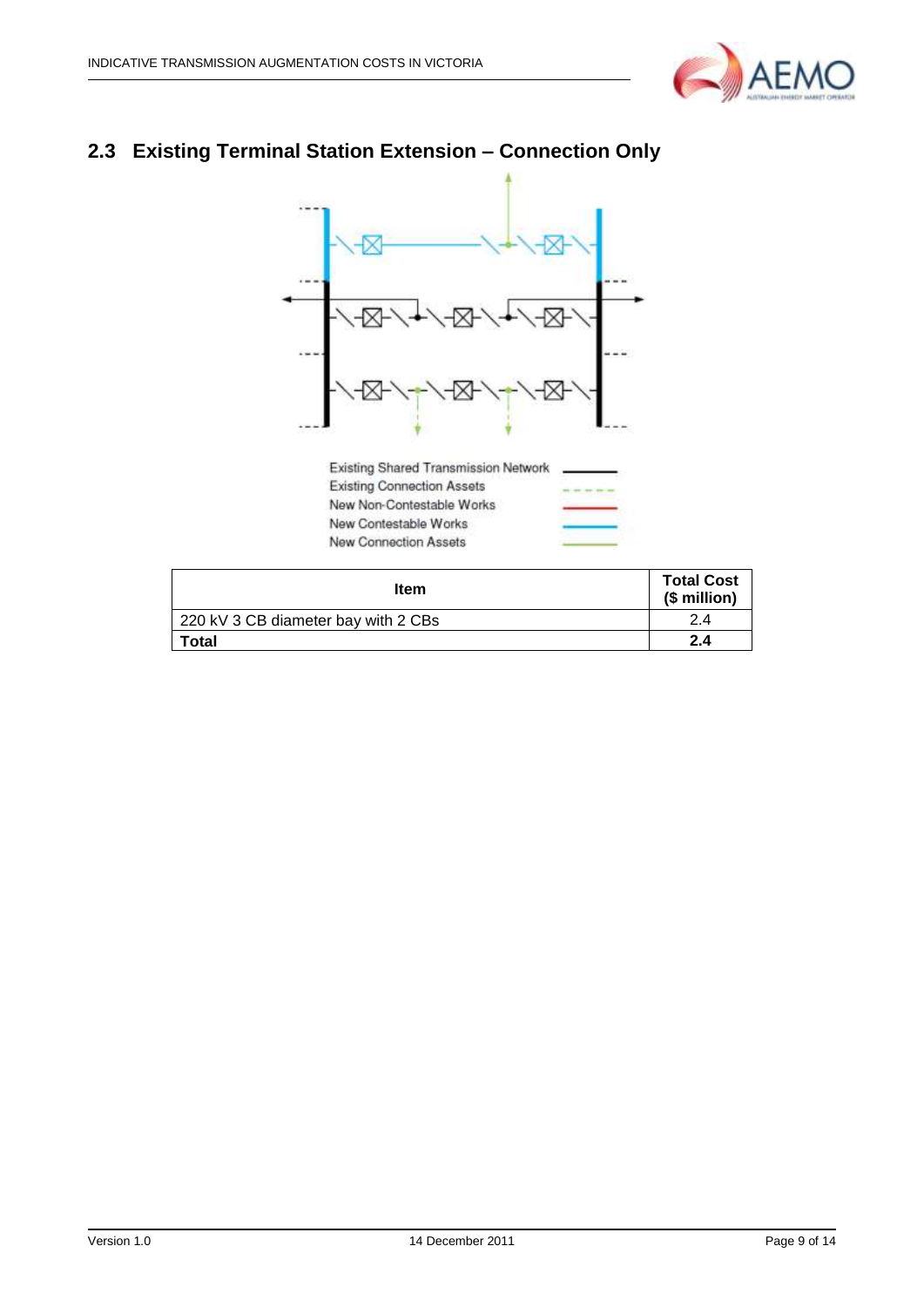

## <span id="page-8-0"></span>**2.3 Existing Terminal Station Extension – Connection Only**



Existing Connection Assets New Non-Contestable Works New Contestable Works New Connection Assets

| <b>Item</b>                         | <b>Total Cost</b><br>(\$ million) |
|-------------------------------------|-----------------------------------|
| 220 kV 3 CB diameter bay with 2 CBs | 2.4                               |
| Total                               | 2.4                               |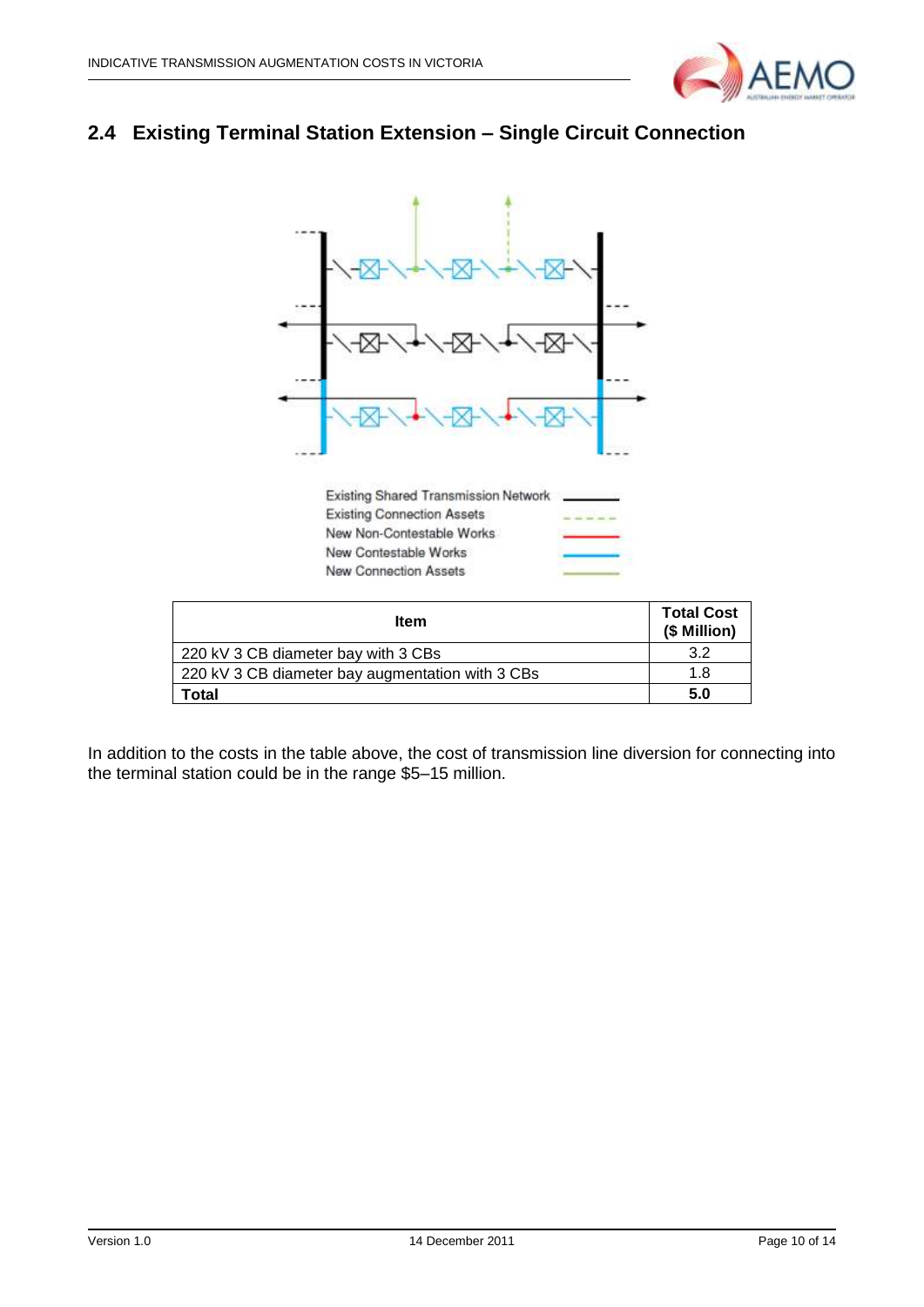

## <span id="page-9-0"></span>**2.4 Existing Terminal Station Extension – Single Circuit Connection**



| <b>Item</b>                                      | <b>Total Cost</b><br>(\$ Million) |
|--------------------------------------------------|-----------------------------------|
| 220 kV 3 CB diameter bay with 3 CBs              | 3.2                               |
| 220 kV 3 CB diameter bay augmentation with 3 CBs | 1.8                               |
| <b>Total</b>                                     | 5.0                               |

In addition to the costs in the table above, the cost of transmission line diversion for connecting into the terminal station could be in the range \$5–15 million.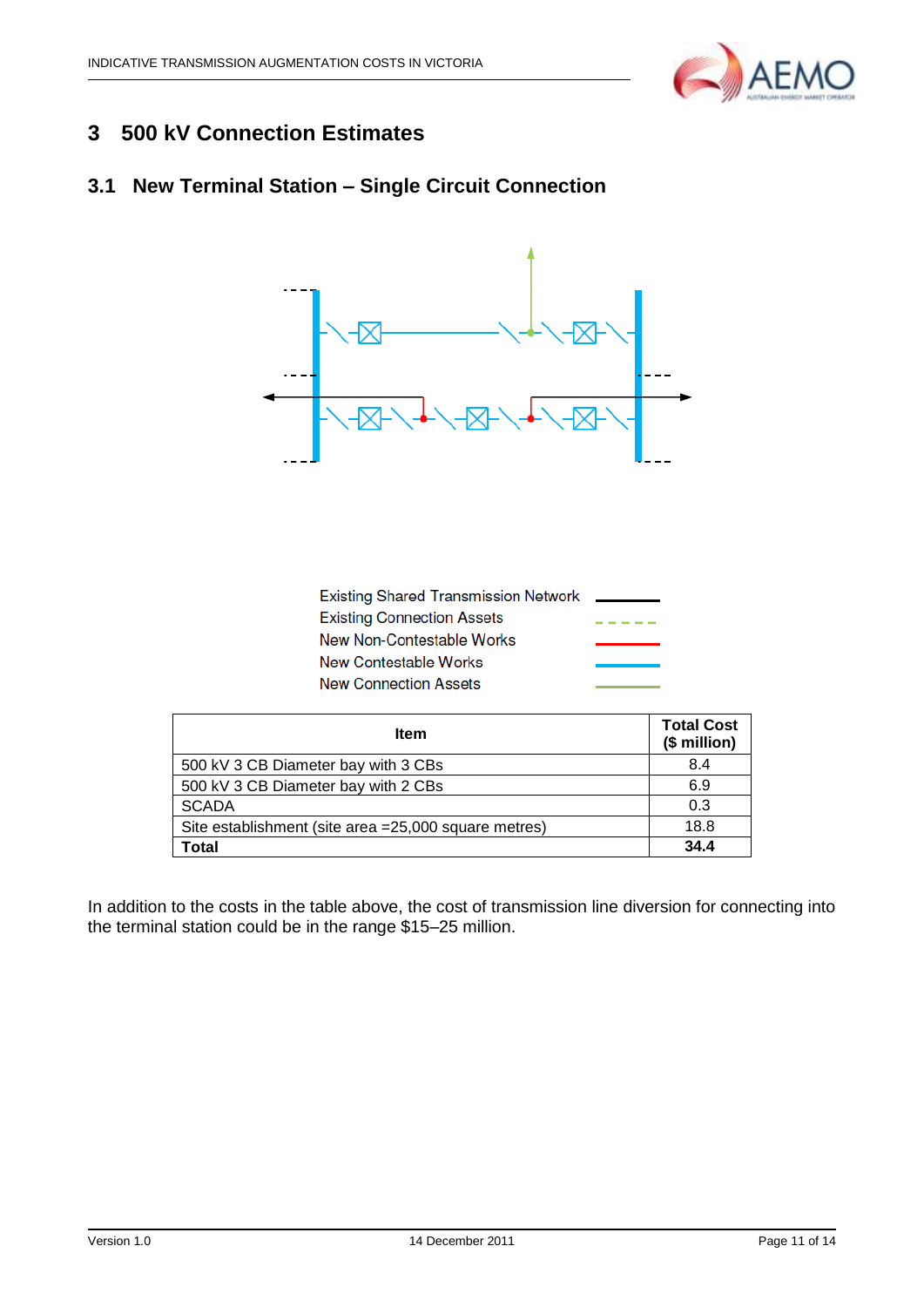

## <span id="page-10-0"></span>**3 500 kV Connection Estimates**

## <span id="page-10-1"></span>**3.1 New Terminal Station – Single Circuit Connection**



| <b>Existing Shared Transmission Network</b> |  |
|---------------------------------------------|--|
| <b>Existing Connection Assets</b>           |  |
| New Non-Contestable Works                   |  |
| New Contestable Works                       |  |
| <b>New Connection Assets</b>                |  |

| <b>Item</b>                                           | <b>Total Cost</b><br>(\$ million) |
|-------------------------------------------------------|-----------------------------------|
| 500 kV 3 CB Diameter bay with 3 CBs                   | 8.4                               |
| 500 kV 3 CB Diameter bay with 2 CBs                   | 6.9                               |
| <b>SCADA</b>                                          | 0.3                               |
| Site establishment (site area = 25,000 square metres) | 18.8                              |
| Total                                                 | 34.4                              |

In addition to the costs in the table above, the cost of transmission line diversion for connecting into the terminal station could be in the range \$15–25 million.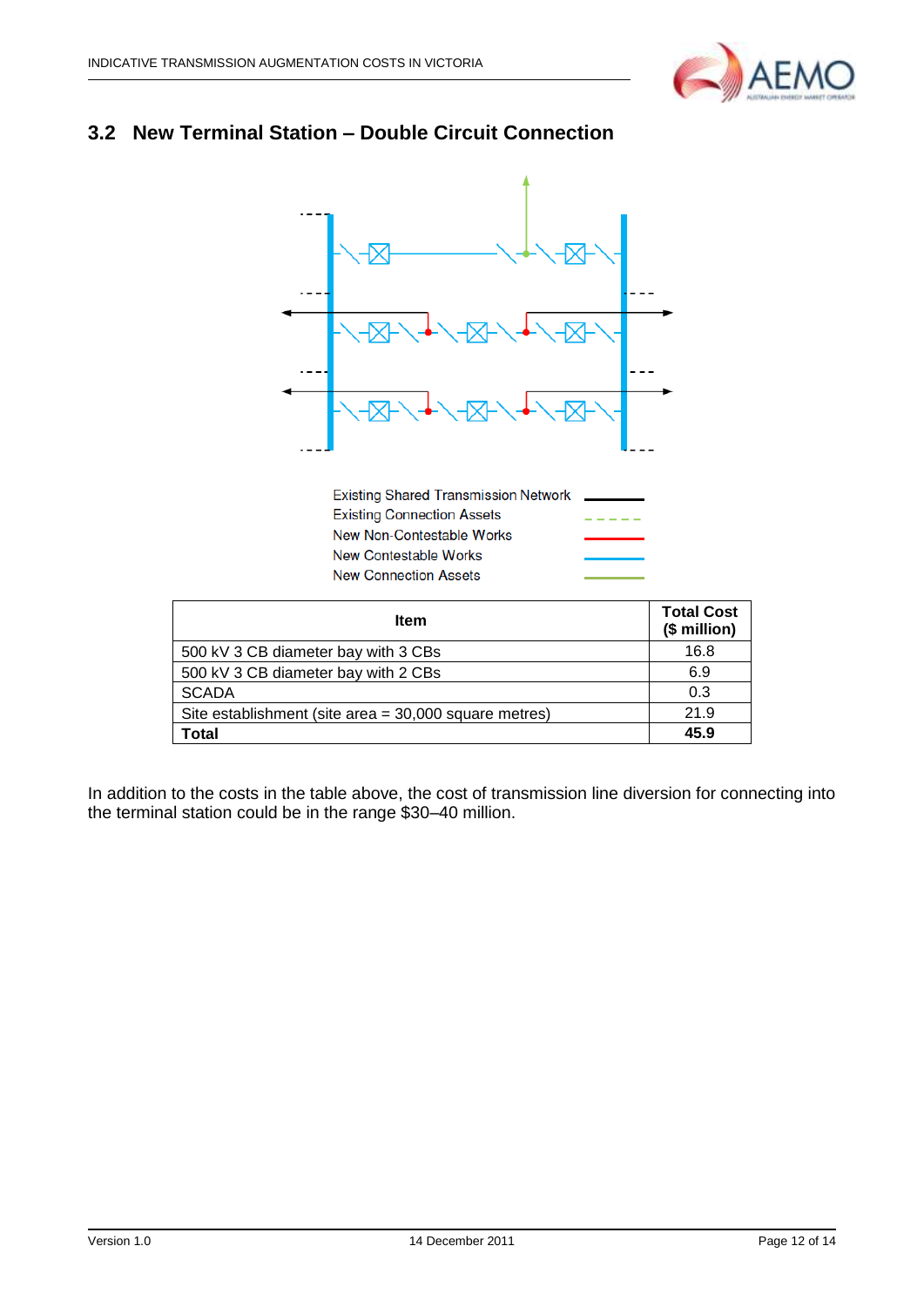

#### <span id="page-11-0"></span>**3.2 New Terminal Station – Double Circuit Connection**



**Existing Shared Transmission Network Existing Connection Assets** New Non-Contestable Works New Contestable Works **New Connection Assets** 

| <b>Item</b>                                           | <b>Total Cost</b><br>(\$ million) |
|-------------------------------------------------------|-----------------------------------|
| 500 kV 3 CB diameter bay with 3 CBs                   | 16.8                              |
| 500 kV 3 CB diameter bay with 2 CBs                   | 6.9                               |
| <b>SCADA</b>                                          | 0.3                               |
| Site establishment (site area = 30,000 square metres) | 21.9                              |
| Total                                                 | 45.9                              |

In addition to the costs in the table above, the cost of transmission line diversion for connecting into the terminal station could be in the range \$30–40 million.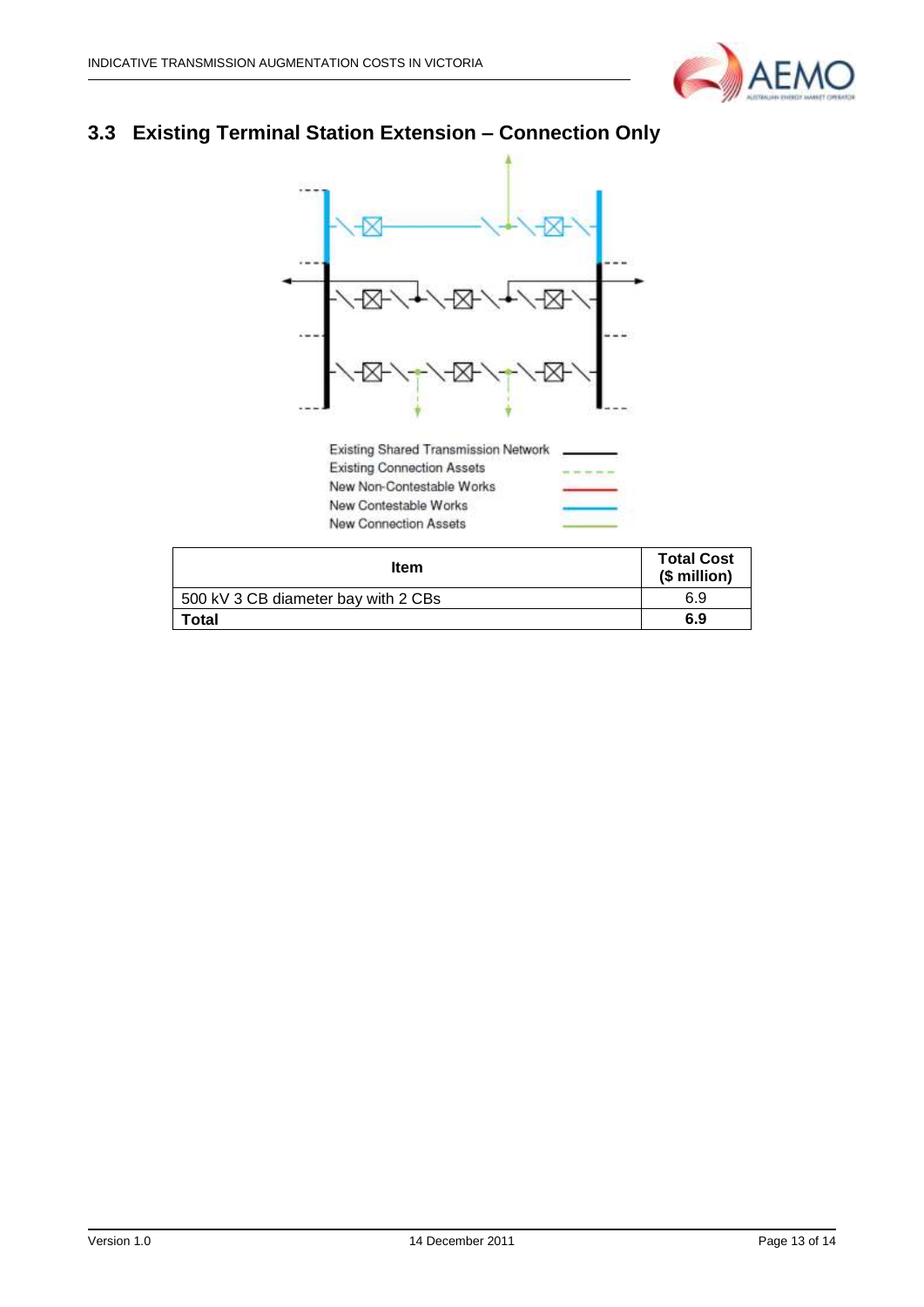

## <span id="page-12-0"></span>**3.3 Existing Terminal Station Extension – Connection Only**



| <b>Item</b>                         | <b>Total Cost</b><br>(\$ million) |
|-------------------------------------|-----------------------------------|
| 500 kV 3 CB diameter bay with 2 CBs | 6.9                               |
| Total                               | 6.9                               |